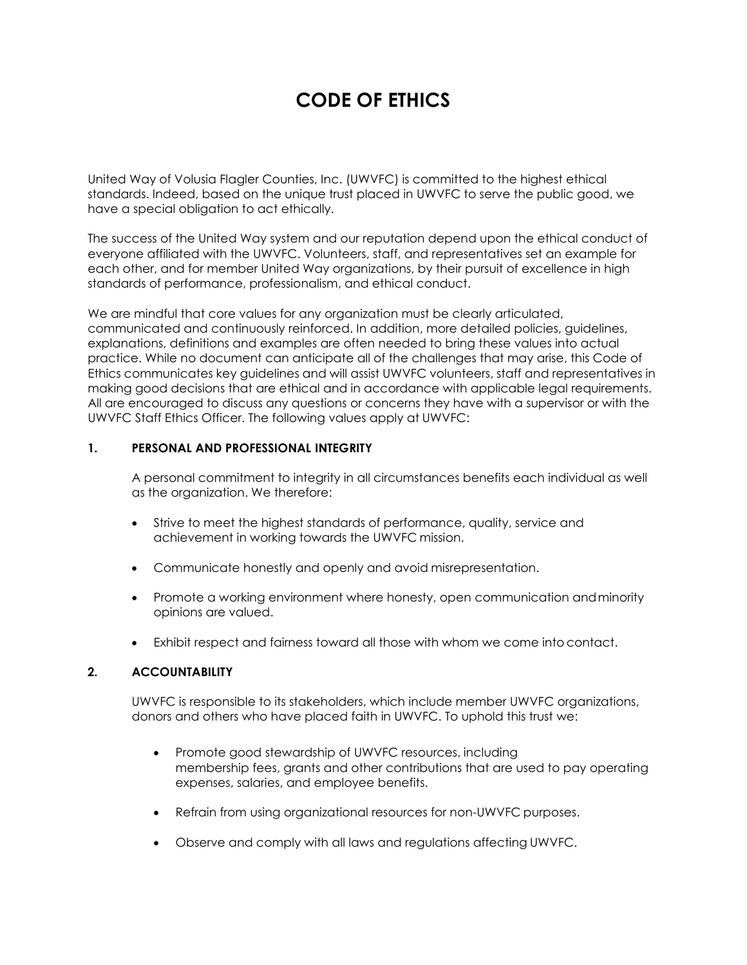# **CODE OF ETHICS**

United Way of Volusia Flagler Counties, Inc. (UWVFC) is committed to the highest ethical standards. Indeed, based on the unique trust placed in UWVFC to serve the public good, we have a special obligation to act ethically.

The success of the United Way system and our reputation depend upon the ethical conduct of everyone affiliated with the UWVFC. Volunteers, staff, and representatives set an example for each other, and for member United Way organizations, by their pursuit of excellence in high standards of performance, professionalism, and ethical conduct.

We are mindful that core values for any organization must be clearly articulated, communicated and continuously reinforced. In addition, more detailed policies, guidelines, explanations, definitions and examples are often needed to bring these values into actual practice. While no document can anticipate all of the challenges that may arise, this Code of Ethics communicates key guidelines and will assist UWVFC volunteers, staff and representatives in making good decisions that are ethical and in accordance with applicable legal requirements. All are encouraged to discuss any questions or concerns they have with a supervisor or with the UWVFC Staff Ethics Officer. The following values apply at UWVFC:

#### **1. PERSONAL AND PROFESSIONAL INTEGRITY**

A personal commitment to integrity in all circumstances benefits each individual as well as the organization. We therefore:

- Strive to meet the highest standards of performance, quality, service and achievement in working towards the UWVFC mission.
- Communicate honestly and openly and avoid misrepresentation.
- Promote a working environment where honesty, open communication andminority opinions are valued.
- Exhibit respect and fairness toward all those with whom we come into contact.

#### **2. ACCOUNTABILITY**

UWVFC is responsible to its stakeholders, which include member UWVFC organizations, donors and others who have placed faith in UWVFC. To uphold this trust we:

- Promote good stewardship of UWVFC resources, including membership fees, grants and other contributions that are used to pay operating expenses, salaries, and employee benefits.
- Refrain from using organizational resources for non-UWVFC purposes.
- Observe and comply with all laws and regulations affecting UWVFC.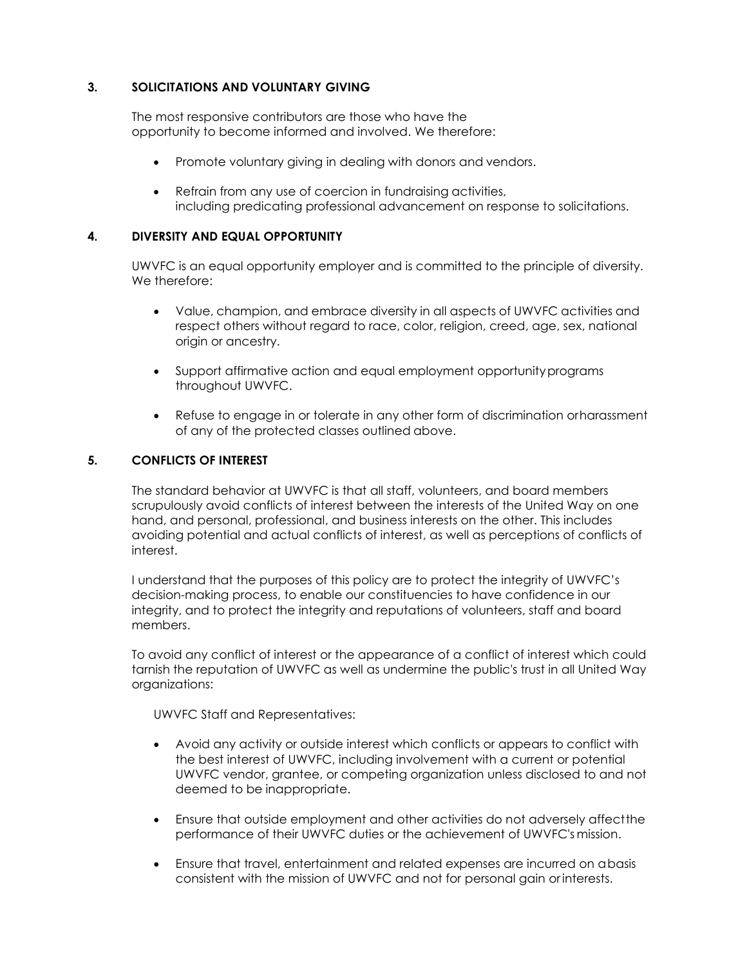#### **3. SOLICITATIONS AND VOLUNTARY GIVING**

The most responsive contributors are those who have the opportunity to become informed and involved. We therefore:

- Promote voluntary giving in dealing with donors and vendors.
- Refrain from any use of coercion in fundraising activities, including predicating professional advancement on response to solicitations.

#### **4. DIVERSITY AND EQUAL OPPORTUNITY**

UWVFC is an equal opportunity employer and is committed to the principle of diversity. We therefore:

- Value, champion, and embrace diversity in all aspects of UWVFC activities and respect others without regard to race, color, religion, creed, age, sex, national origin or ancestry.
- Support affirmative action and equal employment opportunityprograms throughout UWVFC.
- Refuse to engage in or tolerate in any other form of discrimination orharassment of any of the protected classes outlined above.

#### **5. CONFLICTS OF INTEREST**

The standard behavior at UWVFC is that all staff, volunteers, and board members scrupulously avoid conflicts of interest between the interests of the United Way on one hand, and personal, professional, and business interests on the other. This includes avoiding potential and actual conflicts of interest, as well as perceptions of conflicts of interest.

I understand that the purposes of this policy are to protect the integrity of UWVFC's decision-making process, to enable our constituencies to have confidence in our integrity, and to protect the integrity and reputations of volunteers, staff and board members.

To avoid any conflict of interest or the appearance of a conflict of interest which could tarnish the reputation of UWVFC as well as undermine the public's trust in all United Way organizations:

UWVFC Staff and Representatives:

- Avoid any activity or outside interest which conflicts or appears to conflict with the best interest of UWVFC, including involvement with a current or potential UWVFC vendor, grantee, or competing organization unless disclosed to and not deemed to be inappropriate.
- Ensure that outside employment and other activities do not adversely affectthe performance of their UWVFC duties or the achievement of UWVFC's mission.
- Ensure that travel, entertainment and related expenses are incurred on abasis consistent with the mission of UWVFC and not for personal gain or interests.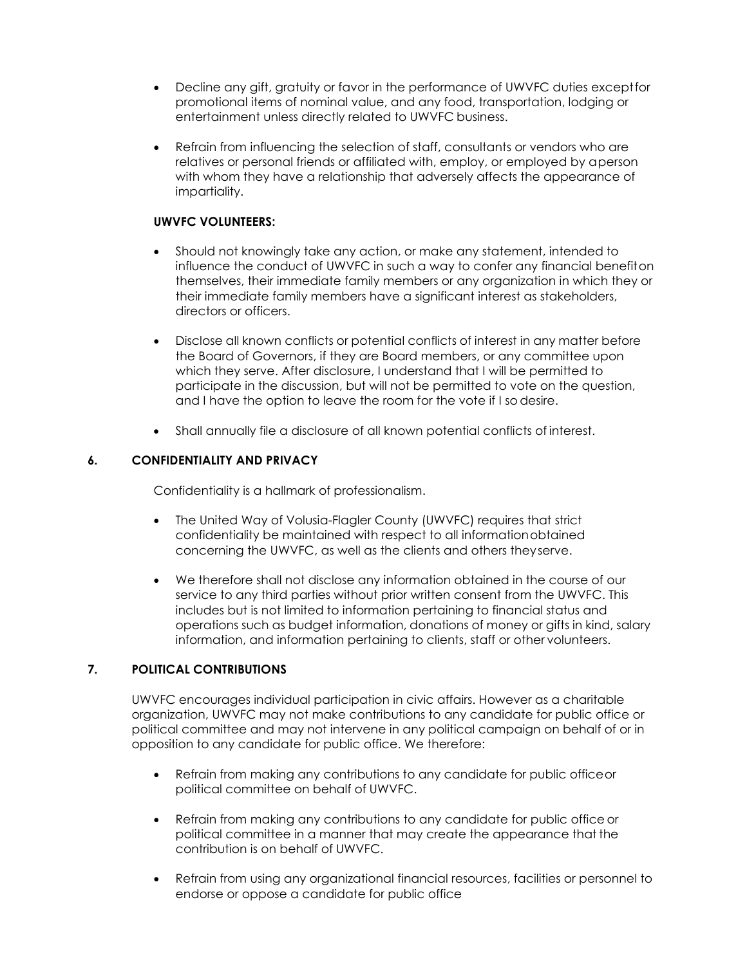- Decline any gift, gratuity or favor in the performance of UWVFC duties exceptfor promotional items of nominal value, and any food, transportation, lodging or entertainment unless directly related to UWVFC business.
- Refrain from influencing the selection of staff, consultants or vendors who are relatives or personal friends or affiliated with, employ, or employed by aperson with whom they have a relationship that adversely affects the appearance of impartiality.

#### **UWVFC VOLUNTEERS:**

- Should not knowingly take any action, or make any statement, intended to influence the conduct of UWVFC in such a way to confer any financial benefiton themselves, their immediate family members or any organization in which they or their immediate family members have a significant interest as stakeholders, directors or officers.
- Disclose all known conflicts or potential conflicts of interest in any matter before the Board of Governors, if they are Board members, or any committee upon which they serve. After disclosure, I understand that I will be permitted to participate in the discussion, but will not be permitted to vote on the question, and I have the option to leave the room for the vote if I so desire.
- Shall annually file a disclosure of all known potential conflicts of interest.

#### **6. CONFIDENTIALITY AND PRIVACY**

Confidentiality is a hallmark of professionalism.

- The United Way of Volusia-Flagler County (UWVFC) requires that strict confidentiality be maintained with respect to all informationobtained concerning the UWVFC, as well as the clients and others theyserve.
- We therefore shall not disclose any information obtained in the course of our service to any third parties without prior written consent from the UWVFC. This includes but is not limited to information pertaining to financial status and operations such as budget information, donations of money or gifts in kind, salary information, and information pertaining to clients, staff or other volunteers.

#### **7. POLITICAL CONTRIBUTIONS**

UWVFC encourages individual participation in civic affairs. However as a charitable organization, UWVFC may not make contributions to any candidate for public office or political committee and may not intervene in any political campaign on behalf of or in opposition to any candidate for public office. We therefore:

- Refrain from making any contributions to any candidate for public officeor political committee on behalf of UWVFC.
- Refrain from making any contributions to any candidate for public office or political committee in a manner that may create the appearance that the contribution is on behalf of UWVFC.
- Refrain from using any organizational financial resources, facilities or personnel to endorse or oppose a candidate for public office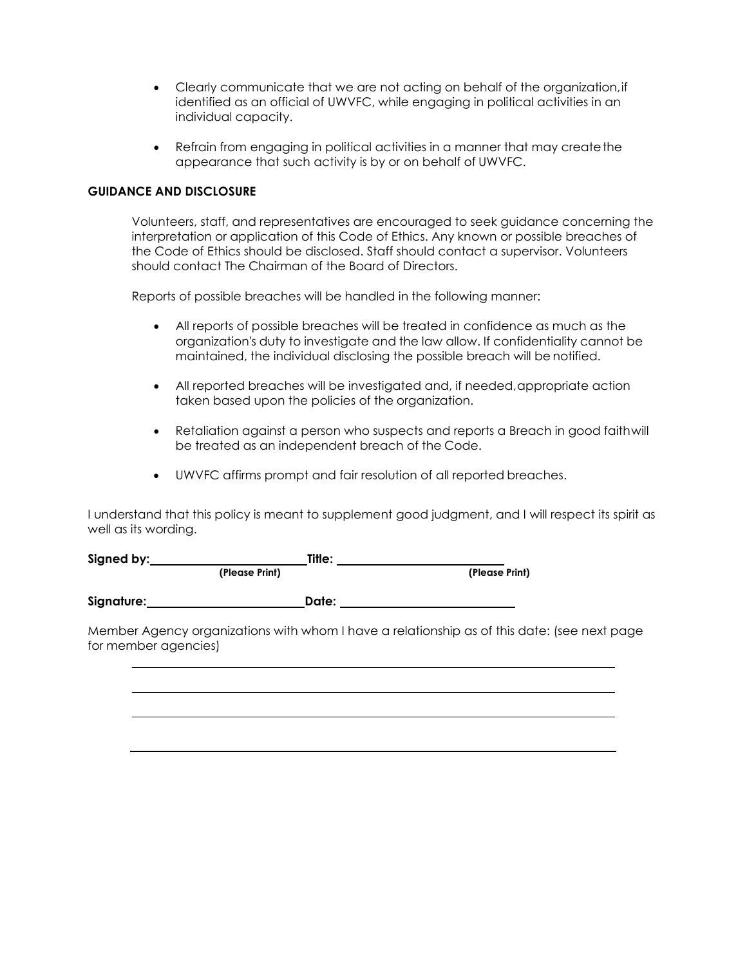- Clearly communicate that we are not acting on behalf of the organization,if identified as an official of UWVFC, while engaging in political activities in an individual capacity.
- Refrain from engaging in political activities in a manner that may create the appearance that such activity is by or on behalf of UWVFC.

#### **GUIDANCE AND DISCLOSURE**

Volunteers, staff, and representatives are encouraged to seek guidance concerning the interpretation or application of this Code of Ethics. Any known or possible breaches of the Code of Ethics should be disclosed. Staff should contact a supervisor. Volunteers should contact The Chairman of the Board of Directors.

Reports of possible breaches will be handled in the following manner:

- All reports of possible breaches will be treated in confidence as much as the organization's duty to investigate and the law allow. If confidentiality cannot be maintained, the individual disclosing the possible breach will be notified.
- All reported breaches will be investigated and, if needed, appropriate action taken based upon the policies of the organization.
- Retaliation against a person who suspects and reports a Breach in good faithwill be treated as an independent breach of the Code.
- UWVFC affirms prompt and fair resolution of all reported breaches.

I understand that this policy is meant to supplement good judgment, and I will respect its spirit as well as its wording.

| Signed by:  | Title:         |                |
|-------------|----------------|----------------|
|             | (Please Print) | (Please Print) |
| Signature:_ | Date:          |                |
|             |                |                |

Member Agency organizations with whom I have a relationship as of this date: (see next page for member agencies)